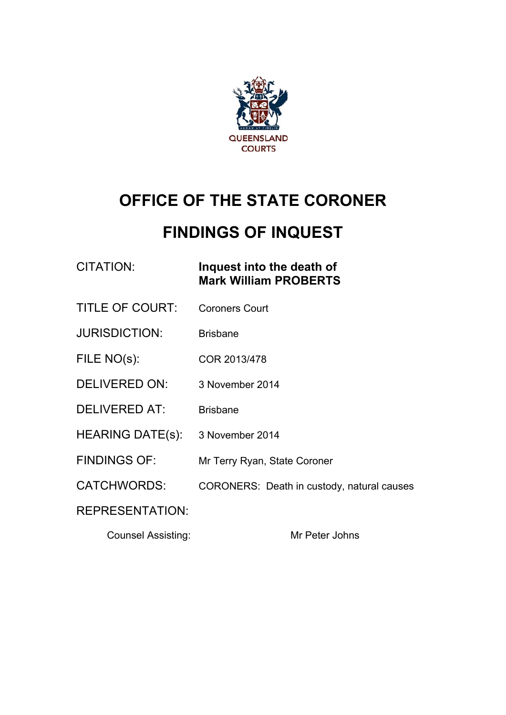

# **OFFICE OF THE STATE CORONER**

# **FINDINGS OF INQUEST**

## CITATION: **Inquest into the death of Mark William PROBERTS**

- TITLE OF COURT: Coroners Court
- JURISDICTION: Brisbane
- FILE NO(s): COR 2013/478
- DELIVERED ON: 3 November 2014
- DELIVERED AT: Brisbane
- HEARING DATE(s): 3 November 2014
- FINDINGS OF: Mr Terry Ryan, State Coroner
- CATCHWORDS: CORONERS: Death in custody, natural causes

### REPRESENTATION:

Counsel Assisting: Mr Peter Johns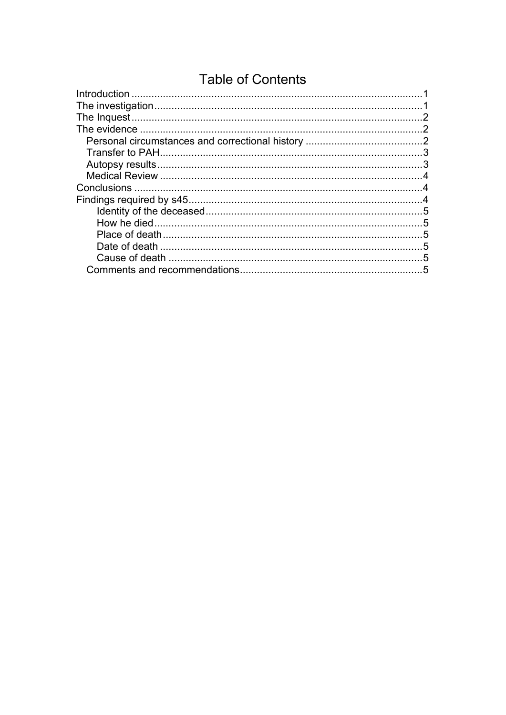## **Table of Contents**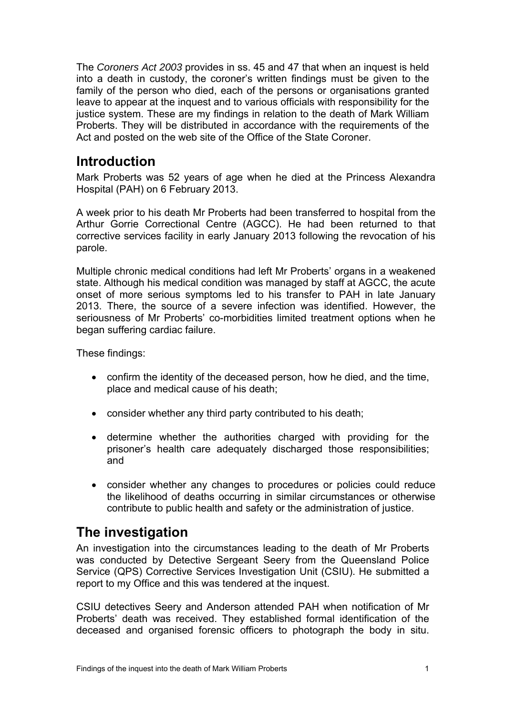The *Coroners Act 2003* provides in ss. 45 and 47 that when an inquest is held into a death in custody, the coroner's written findings must be given to the family of the person who died, each of the persons or organisations granted leave to appear at the inquest and to various officials with responsibility for the justice system. These are my findings in relation to the death of Mark William Proberts. They will be distributed in accordance with the requirements of the Act and posted on the web site of the Office of the State Coroner.

## **Introduction**

Mark Proberts was 52 years of age when he died at the Princess Alexandra Hospital (PAH) on 6 February 2013.

A week prior to his death Mr Proberts had been transferred to hospital from the Arthur Gorrie Correctional Centre (AGCC). He had been returned to that corrective services facility in early January 2013 following the revocation of his parole.

Multiple chronic medical conditions had left Mr Proberts' organs in a weakened state. Although his medical condition was managed by staff at AGCC, the acute onset of more serious symptoms led to his transfer to PAH in late January 2013. There, the source of a severe infection was identified. However, the seriousness of Mr Proberts' co-morbidities limited treatment options when he began suffering cardiac failure.

These findings:

- confirm the identity of the deceased person, how he died, and the time, place and medical cause of his death;
- consider whether any third party contributed to his death;
- determine whether the authorities charged with providing for the prisoner's health care adequately discharged those responsibilities; and
- consider whether any changes to procedures or policies could reduce the likelihood of deaths occurring in similar circumstances or otherwise contribute to public health and safety or the administration of justice.

## **The investigation**

An investigation into the circumstances leading to the death of Mr Proberts was conducted by Detective Sergeant Seery from the Queensland Police Service (QPS) Corrective Services Investigation Unit (CSIU). He submitted a report to my Office and this was tendered at the inquest.

CSIU detectives Seery and Anderson attended PAH when notification of Mr Proberts' death was received. They established formal identification of the deceased and organised forensic officers to photograph the body in situ.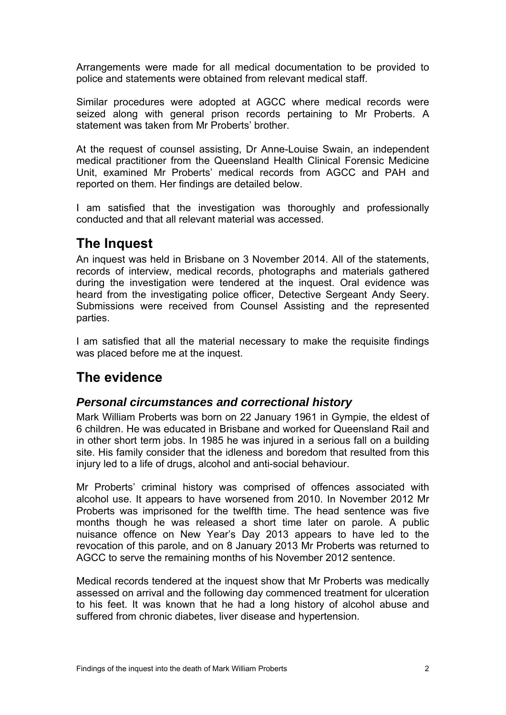Arrangements were made for all medical documentation to be provided to police and statements were obtained from relevant medical staff.

Similar procedures were adopted at AGCC where medical records were seized along with general prison records pertaining to Mr Proberts. A statement was taken from Mr Proberts' brother.

At the request of counsel assisting, Dr Anne-Louise Swain, an independent medical practitioner from the Queensland Health Clinical Forensic Medicine Unit, examined Mr Proberts' medical records from AGCC and PAH and reported on them. Her findings are detailed below.

I am satisfied that the investigation was thoroughly and professionally conducted and that all relevant material was accessed.

## **The Inquest**

An inquest was held in Brisbane on 3 November 2014. All of the statements, records of interview, medical records, photographs and materials gathered during the investigation were tendered at the inquest. Oral evidence was heard from the investigating police officer, Detective Sergeant Andy Seery. Submissions were received from Counsel Assisting and the represented parties.

I am satisfied that all the material necessary to make the requisite findings was placed before me at the inquest.

## **The evidence**

### *Personal circumstances and correctional history*

Mark William Proberts was born on 22 January 1961 in Gympie, the eldest of 6 children. He was educated in Brisbane and worked for Queensland Rail and in other short term jobs. In 1985 he was injured in a serious fall on a building site. His family consider that the idleness and boredom that resulted from this injury led to a life of drugs, alcohol and anti-social behaviour.

Mr Proberts' criminal history was comprised of offences associated with alcohol use. It appears to have worsened from 2010. In November 2012 Mr Proberts was imprisoned for the twelfth time. The head sentence was five months though he was released a short time later on parole. A public nuisance offence on New Year's Day 2013 appears to have led to the revocation of this parole, and on 8 January 2013 Mr Proberts was returned to AGCC to serve the remaining months of his November 2012 sentence.

Medical records tendered at the inquest show that Mr Proberts was medically assessed on arrival and the following day commenced treatment for ulceration to his feet. It was known that he had a long history of alcohol abuse and suffered from chronic diabetes, liver disease and hypertension.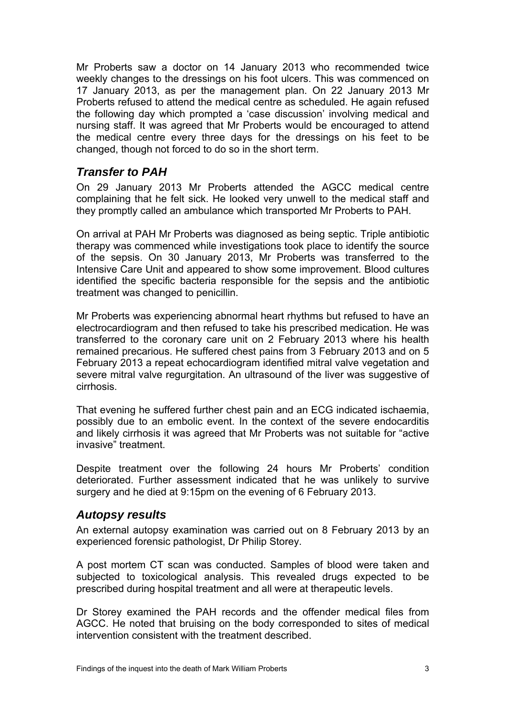Mr Proberts saw a doctor on 14 January 2013 who recommended twice weekly changes to the dressings on his foot ulcers. This was commenced on 17 January 2013, as per the management plan. On 22 January 2013 Mr Proberts refused to attend the medical centre as scheduled. He again refused the following day which prompted a 'case discussion' involving medical and nursing staff. It was agreed that Mr Proberts would be encouraged to attend the medical centre every three days for the dressings on his feet to be changed, though not forced to do so in the short term.

## *Transfer to PAH*

On 29 January 2013 Mr Proberts attended the AGCC medical centre complaining that he felt sick. He looked very unwell to the medical staff and they promptly called an ambulance which transported Mr Proberts to PAH.

On arrival at PAH Mr Proberts was diagnosed as being septic. Triple antibiotic therapy was commenced while investigations took place to identify the source of the sepsis. On 30 January 2013, Mr Proberts was transferred to the Intensive Care Unit and appeared to show some improvement. Blood cultures identified the specific bacteria responsible for the sepsis and the antibiotic treatment was changed to penicillin.

Mr Proberts was experiencing abnormal heart rhythms but refused to have an electrocardiogram and then refused to take his prescribed medication. He was transferred to the coronary care unit on 2 February 2013 where his health remained precarious. He suffered chest pains from 3 February 2013 and on 5 February 2013 a repeat echocardiogram identified mitral valve vegetation and severe mitral valve regurgitation. An ultrasound of the liver was suggestive of cirrhosis.

That evening he suffered further chest pain and an ECG indicated ischaemia, possibly due to an embolic event. In the context of the severe endocarditis and likely cirrhosis it was agreed that Mr Proberts was not suitable for "active invasive" treatment.

Despite treatment over the following 24 hours Mr Proberts' condition deteriorated. Further assessment indicated that he was unlikely to survive surgery and he died at 9:15pm on the evening of 6 February 2013.

#### *Autopsy results*

An external autopsy examination was carried out on 8 February 2013 by an experienced forensic pathologist, Dr Philip Storey.

A post mortem CT scan was conducted. Samples of blood were taken and subjected to toxicological analysis. This revealed drugs expected to be prescribed during hospital treatment and all were at therapeutic levels.

Dr Storey examined the PAH records and the offender medical files from AGCC. He noted that bruising on the body corresponded to sites of medical intervention consistent with the treatment described.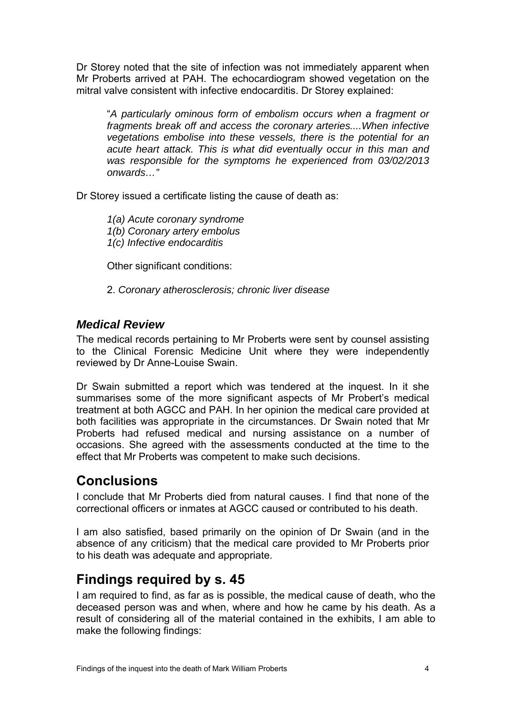Dr Storey noted that the site of infection was not immediately apparent when Mr Proberts arrived at PAH. The echocardiogram showed vegetation on the mitral valve consistent with infective endocarditis. Dr Storey explained:

"*A particularly ominous form of embolism occurs when a fragment or fragments break off and access the coronary arteries....When infective vegetations embolise into these vessels, there is the potential for an acute heart attack. This is what did eventually occur in this man and was responsible for the symptoms he experienced from 03/02/2013 onwards…"* 

Dr Storey issued a certificate listing the cause of death as:

*1(a) Acute coronary syndrome 1(b) Coronary artery embolus 1(c) Infective endocarditis* 

Other significant conditions:

2. *Coronary atherosclerosis; chronic liver disease* 

#### *Medical Review*

The medical records pertaining to Mr Proberts were sent by counsel assisting to the Clinical Forensic Medicine Unit where they were independently reviewed by Dr Anne-Louise Swain.

Dr Swain submitted a report which was tendered at the inquest. In it she summarises some of the more significant aspects of Mr Probert's medical treatment at both AGCC and PAH. In her opinion the medical care provided at both facilities was appropriate in the circumstances. Dr Swain noted that Mr Proberts had refused medical and nursing assistance on a number of occasions. She agreed with the assessments conducted at the time to the effect that Mr Proberts was competent to make such decisions.

## **Conclusions**

I conclude that Mr Proberts died from natural causes. I find that none of the correctional officers or inmates at AGCC caused or contributed to his death.

I am also satisfied, based primarily on the opinion of Dr Swain (and in the absence of any criticism) that the medical care provided to Mr Proberts prior to his death was adequate and appropriate.

## **Findings required by s. 45**

I am required to find, as far as is possible, the medical cause of death, who the deceased person was and when, where and how he came by his death. As a result of considering all of the material contained in the exhibits, I am able to make the following findings: